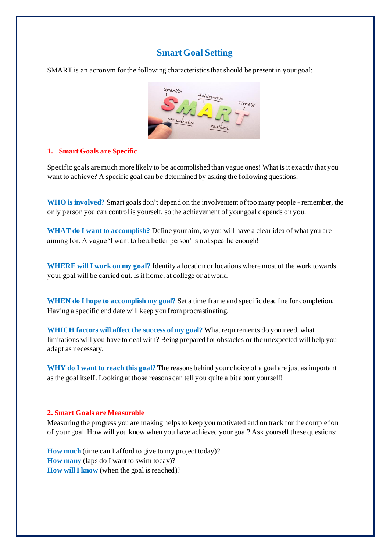# **Smart Goal Setting**

SMART is an acronym for the following characteristics that should be present in your goal:



### **1. Smart Goals are Specific**

Specific goals are much more likely to be accomplished than vague ones! What is it exactly that you want to achieve? A specific goal can be determined by asking the following questions:

**WHO is involved?** Smart goals don't depend on the involvement of too many people - remember, the only person you can control is yourself, so the achievement of your goal depends on you.

**WHAT do I want to accomplish?** Define your aim, so you will have a clear idea of what you are aiming for. A vague 'I want to be a better person' is not specific enough!

**WHERE will I work on my goal?** Identify a location or locations where most of the work towards your goal will be carried out. Is it home, at college or at work.

**WHEN do I hope to accomplish my goal?** Set a time frame and specific deadline for completion. Having a specific end date will keep you from procrastinating.

**WHICH factors will affect the success of my goal?** What requirements do you need, what limitations will you have to deal with? Being prepared for obstacles or the unexpected will help you adapt as necessary.

**WHY do I want to reach this goal?** The reasons behind your choice of a goal are just as important as the goal itself. Looking at those reasons can tell you quite a bit about yourself!

#### **2. Smart Goals are Measurable**

Measuring the progress you are making helps to keep you motivated and on track for the completion of your goal. How will you know when you have achieved your goal? Ask yourself these questions:

**How much** (time can I afford to give to my project today)? **How many** (laps do I want to swim today)? **How will I know** (when the goal is reached)?